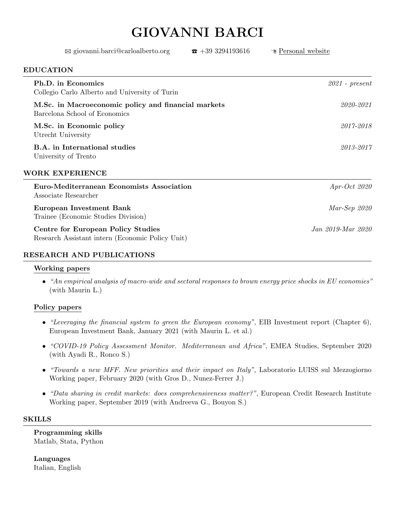# GIOVANNI BARCI

| $\boxtimes$ giovanni.barci@carloalberto.org                                                   | $\bar{x}$ +39 3294193616 | <sup>n</sup> Personal website |
|-----------------------------------------------------------------------------------------------|--------------------------|-------------------------------|
| <b>EDUCATION</b>                                                                              |                          |                               |
| Ph.D. in Economics<br>Collegio Carlo Alberto and University of Turin                          |                          | $2021$ - present              |
| M.Sc. in Macroeconomic policy and financial markets<br>Barcelona School of Economics          |                          | 2020-2021                     |
| M.Sc. in Economic policy<br>Utrecht University                                                |                          | 2017-2018                     |
| B.A. in International studies<br>University of Trento                                         |                          | 2013-2017                     |
| <b>WORK EXPERIENCE</b>                                                                        |                          |                               |
| Euro-Mediterranean Economists Association<br>Associate Researcher                             |                          | $Apr-Oct$ 2020                |
| <b>European Investment Bank</b><br>Trainee (Economic Studies Division)                        |                          | $Mar-Sep 2020$                |
| <b>Centre for European Policy Studies</b><br>Research Assistant intern (Economic Policy Unit) |                          | Jan 2019-Mar 2020             |
| RESEARCH AND PUBLICATIONS                                                                     |                          |                               |

### Working papers

• "An empirical analysis of macro-wide and sectoral responses to brown energy price shocks in EU economies" (with Maurin L.)

### Policy papers

- "Leveraging the financial system to green the European economy", EIB Investment report (Chapter 6), European Investment Bank, January 2021 (with Maurin L. et al.)
- "COVID-19 Policy Assessment Monitor. Mediterranean and Africa", EMEA Studies, September 2020 (with Ayadi R., Ronco S.)
- "Towards a new MFF. New priorities and their impact on Italy", Laboratorio LUISS sul Mezzogiorno Working paper, February 2020 (with Gros D., Nunez-Ferrer J.)
- "Data sharing in credit markets: does comprehensiveness matter?", European Credit Research Institute Working paper, September 2019 (with Andreeva G., Bouyon S.)

### SKILLS

Programming skills Matlab, Stata, Python

Languages Italian, English